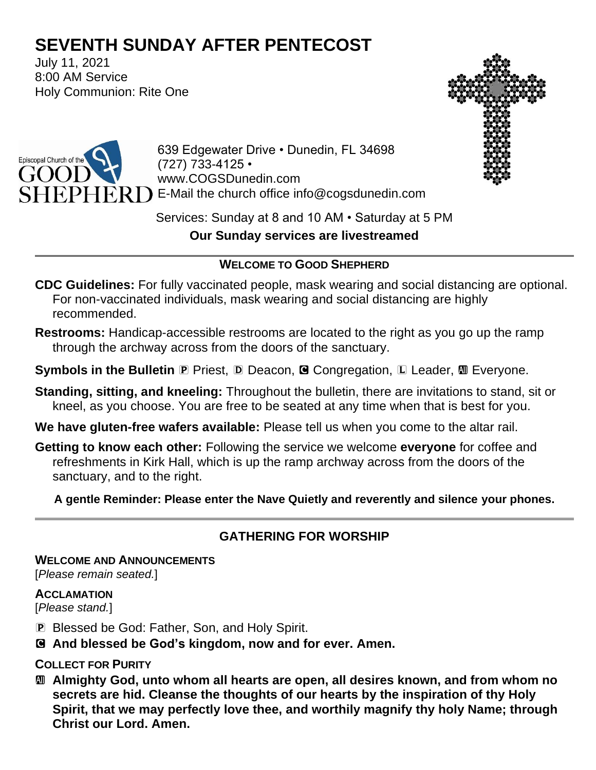# **SEVENTH SUNDAY AFTER PENTECOST**

July 11, 2021 8:00 AM Service Holy Communion: Rite One





639 Edgewater Drive • Dunedin, FL 34698 (727) 733-4125 • www.COGSDunedin.com E-Mail the church office info@cogsdunedin.com

Services: Sunday at 8 and 10 AM • Saturday at 5 PM **Our Sunday services are livestreamed**

## **WELCOME TO GOOD SHEPHERD**

- **CDC Guidelines:** For fully vaccinated people, mask wearing and social distancing are optional. For non-vaccinated individuals, mask wearing and social distancing are highly recommended.
- **Restrooms:** Handicap-accessible restrooms are located to the right as you go up the ramp through the archway across from the doors of the sanctuary.
- **Symbols in the Bulletin P** Priest, **D** Deacon, **G** Congregation, **L** Leader, **M** Everyone.
- **Standing, sitting, and kneeling:** Throughout the bulletin, there are invitations to stand, sit or kneel, as you choose. You are free to be seated at any time when that is best for you.
- **We have gluten-free wafers available:** Please tell us when you come to the altar rail.
- **Getting to know each other:** Following the service we welcome **everyone** for coffee and refreshments in Kirk Hall, which is up the ramp archway across from the doors of the sanctuary, and to the right.

**A gentle Reminder: Please enter the Nave Quietly and reverently and silence your phones.**

# **GATHERING FOR WORSHIP**

**WELCOME AND ANNOUNCEMENTS**

[*Please remain seated.*]

### **ACCLAMATION**

[*Please stand.*]

- P Blessed be God: Father, Son, and Holy Spirit.
- C **And blessed be God's kingdom, now and for ever. Amen.**

# **COLLECT FOR PURITY**

a **Almighty God, unto whom all hearts are open, all desires known, and from whom no secrets are hid. Cleanse the thoughts of our hearts by the inspiration of thy Holy Spirit, that we may perfectly love thee, and worthily magnify thy holy Name; through Christ our Lord. Amen.**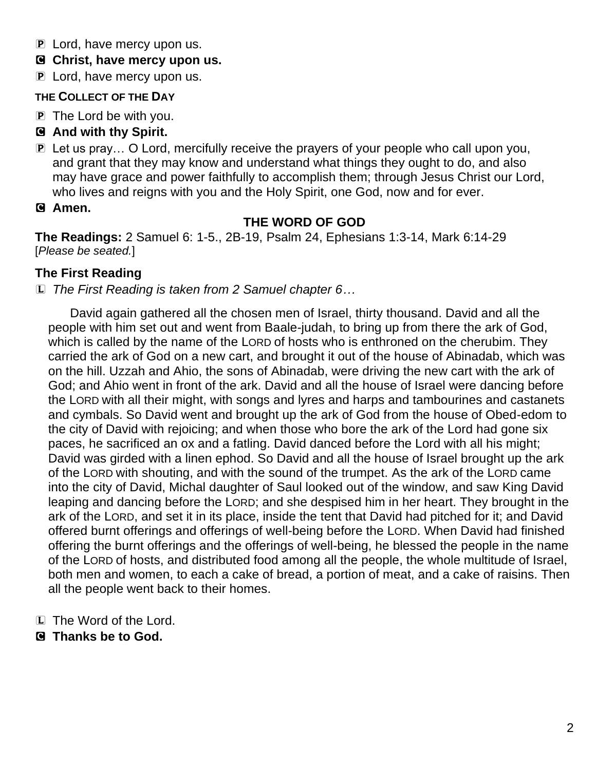- P Lord, have mercy upon us.
- C **Christ, have mercy upon us.**
- **P** Lord, have mercy upon us.

### **THE COLLECT OF THE DAY**

- P The Lord be with you.
- C **And with thy Spirit.**
- P Let us pray… O Lord, mercifully receive the prayers of your people who call upon you, and grant that they may know and understand what things they ought to do, and also may have grace and power faithfully to accomplish them; through Jesus Christ our Lord, who lives and reigns with you and the Holy Spirit, one God, now and for ever.
- C **Amen.**

# **THE WORD OF GOD**

**The Readings:** 2 Samuel 6: 1-5., 2B-19, Psalm 24, Ephesians 1:3-14, Mark 6:14-29 [*Please be seated.*]

# **The First Reading**

L *The First Reading is taken from 2 Samuel chapter 6…*

David again gathered all the chosen men of Israel, thirty thousand. David and all the people with him set out and went from Baale-judah, to bring up from there the ark of God, which is called by the name of the LORD of hosts who is enthroned on the cherubim. They carried the ark of God on a new cart, and brought it out of the house of Abinadab, which was on the hill. Uzzah and Ahio, the sons of Abinadab, were driving the new cart with the ark of God; and Ahio went in front of the ark. David and all the house of Israel were dancing before the LORD with all their might, with songs and lyres and harps and tambourines and castanets and cymbals. So David went and brought up the ark of God from the house of Obed-edom to the city of David with rejoicing; and when those who bore the ark of the Lord had gone six paces, he sacrificed an ox and a fatling. David danced before the Lord with all his might; David was girded with a linen ephod. So David and all the house of Israel brought up the ark of the LORD with shouting, and with the sound of the trumpet. As the ark of the LORD came into the city of David, Michal daughter of Saul looked out of the window, and saw King David leaping and dancing before the LORD; and she despised him in her heart. They brought in the ark of the LORD, and set it in its place, inside the tent that David had pitched for it; and David offered burnt offerings and offerings of well-being before the LORD. When David had finished offering the burnt offerings and the offerings of well-being, he blessed the people in the name of the LORD of hosts, and distributed food among all the people, the whole multitude of Israel, both men and women, to each a cake of bread, a portion of meat, and a cake of raisins. Then all the people went back to their homes.

- L The Word of the Lord.
- C **Thanks be to God.**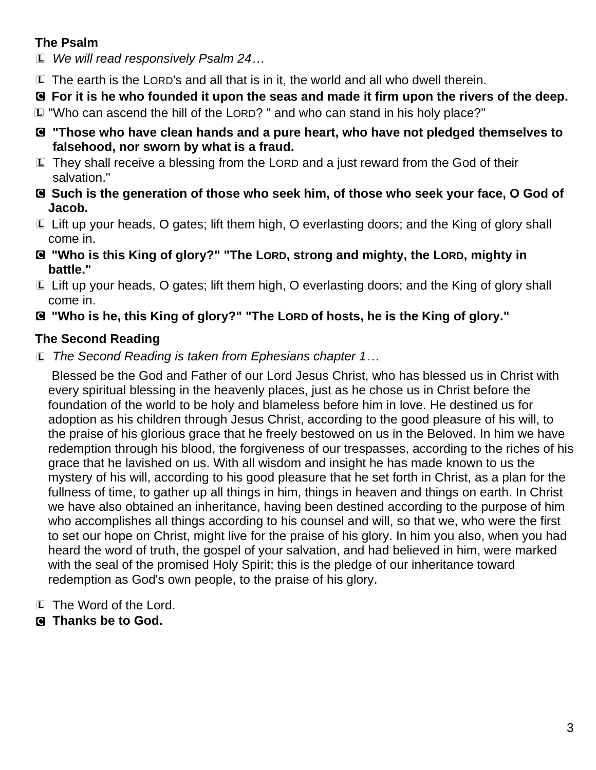# **The Psalm**

L *We will read responsively Psalm 24…*

- L The earth is the LORD's and all that is in it, the world and all who dwell therein.
- C **For it is he who founded it upon the seas and made it firm upon the rivers of the deep.**
- L "Who can ascend the hill of the LORD? " and who can stand in his holy place?"
- C **"Those who have clean hands and a pure heart, who have not pledged themselves to falsehood, nor sworn by what is a fraud.**
- L They shall receive a blessing from the LORD and a just reward from the God of their salvation."
- C **Such is the generation of those who seek him, of those who seek your face, O God of Jacob.**
- L Lift up your heads, O gates; lift them high, O everlasting doors; and the King of glory shall come in.
- C **"Who is this King of glory?" "The LORD, strong and mighty, the LORD, mighty in battle."**
- L Lift up your heads, O gates; lift them high, O everlasting doors; and the King of glory shall come in.
- C **"Who is he, this King of glory?" "The LORD of hosts, he is the King of glory."**

# **The Second Reading**

L *The Second Reading is taken from Ephesians chapter 1…*

Blessed be the God and Father of our Lord Jesus Christ, who has blessed us in Christ with every spiritual blessing in the heavenly places, just as he chose us in Christ before the foundation of the world to be holy and blameless before him in love. He destined us for adoption as his children through Jesus Christ, according to the good pleasure of his will, to the praise of his glorious grace that he freely bestowed on us in the Beloved. In him we have redemption through his blood, the forgiveness of our trespasses, according to the riches of his grace that he lavished on us. With all wisdom and insight he has made known to us the mystery of his will, according to his good pleasure that he set forth in Christ, as a plan for the fullness of time, to gather up all things in him, things in heaven and things on earth. In Christ we have also obtained an inheritance, having been destined according to the purpose of him who accomplishes all things according to his counsel and will, so that we, who were the first to set our hope on Christ, might live for the praise of his glory. In him you also, when you had heard the word of truth, the gospel of your salvation, and had believed in him, were marked with the seal of the promised Holy Spirit; this is the pledge of our inheritance toward redemption as God's own people, to the praise of his glory.

- L The Word of the Lord.
- C **Thanks be to God.**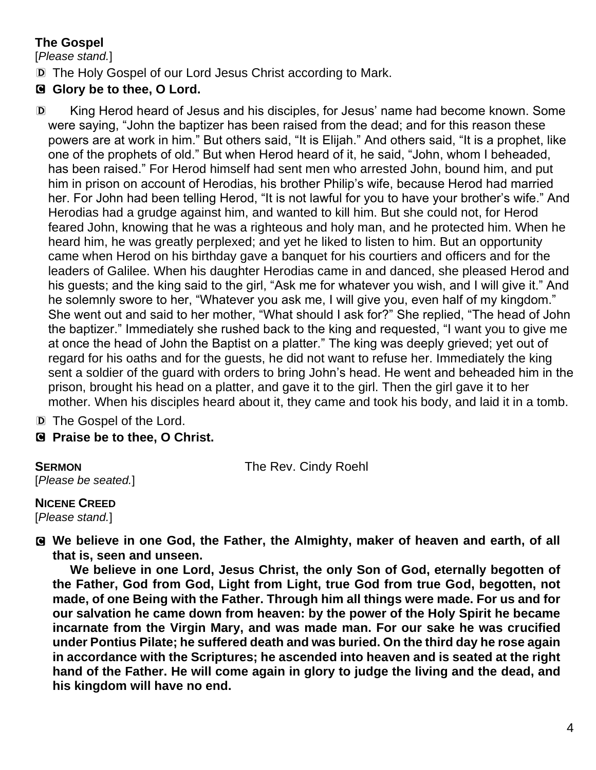# **The Gospel**

[*Please stand.*]

D The Holy Gospel of our Lord Jesus Christ according to Mark.

# C **Glory be to thee, O Lord.**

D King Herod heard of Jesus and his disciples, for Jesus' name had become known. Some were saying, "John the baptizer has been raised from the dead; and for this reason these powers are at work in him." But others said, "It is Elijah." And others said, "It is a prophet, like one of the prophets of old." But when Herod heard of it, he said, "John, whom I beheaded, has been raised." For Herod himself had sent men who arrested John, bound him, and put him in prison on account of Herodias, his brother Philip's wife, because Herod had married her. For John had been telling Herod, "It is not lawful for you to have your brother's wife." And Herodias had a grudge against him, and wanted to kill him. But she could not, for Herod feared John, knowing that he was a righteous and holy man, and he protected him. When he heard him, he was greatly perplexed; and yet he liked to listen to him. But an opportunity came when Herod on his birthday gave a banquet for his courtiers and officers and for the leaders of Galilee. When his daughter Herodias came in and danced, she pleased Herod and his guests; and the king said to the girl, "Ask me for whatever you wish, and I will give it." And he solemnly swore to her, "Whatever you ask me, I will give you, even half of my kingdom." She went out and said to her mother, "What should I ask for?" She replied, "The head of John the baptizer." Immediately she rushed back to the king and requested, "I want you to give me at once the head of John the Baptist on a platter." The king was deeply grieved; yet out of regard for his oaths and for the guests, he did not want to refuse her. Immediately the king sent a soldier of the guard with orders to bring John's head. He went and beheaded him in the prison, brought his head on a platter, and gave it to the girl. Then the girl gave it to her mother. When his disciples heard about it, they came and took his body, and laid it in a tomb.

D The Gospel of the Lord.

C **Praise be to thee, O Christ.**

[*Please be seated.*]

**SERMON** The Rev. Cindy Roehl

**NICENE CREED**  [*Please stand.*]

C **We believe in one God, the Father, the Almighty, maker of heaven and earth, of all that is, seen and unseen.** 

**We believe in one Lord, Jesus Christ, the only Son of God, eternally begotten of the Father, God from God, Light from Light, true God from true God, begotten, not made, of one Being with the Father. Through him all things were made. For us and for our salvation he came down from heaven: by the power of the Holy Spirit he became incarnate from the Virgin Mary, and was made man. For our sake he was crucified under Pontius Pilate; he suffered death and was buried. On the third day he rose again in accordance with the Scriptures; he ascended into heaven and is seated at the right hand of the Father. He will come again in glory to judge the living and the dead, and his kingdom will have no end.**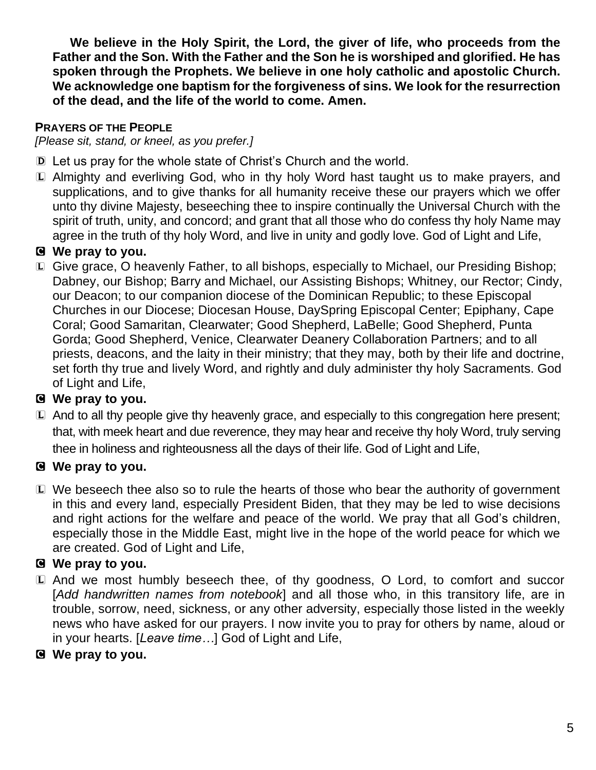**We believe in the Holy Spirit, the Lord, the giver of life, who proceeds from the Father and the Son. With the Father and the Son he is worshiped and glorified. He has spoken through the Prophets. We believe in one holy catholic and apostolic Church. We acknowledge one baptism for the forgiveness of sins. We look for the resurrection of the dead, and the life of the world to come. Amen.**

### **PRAYERS OF THE PEOPLE**

*[Please sit, stand, or kneel, as you prefer.]*

- D Let us pray for the whole state of Christ's Church and the world.
- L Almighty and everliving God, who in thy holy Word hast taught us to make prayers, and supplications, and to give thanks for all humanity receive these our prayers which we offer unto thy divine Majesty, beseeching thee to inspire continually the Universal Church with the spirit of truth, unity, and concord; and grant that all those who do confess thy holy Name may agree in the truth of thy holy Word, and live in unity and godly love. God of Light and Life,

# C **We pray to you.**

L Give grace, O heavenly Father, to all bishops, especially to Michael, our Presiding Bishop; Dabney, our Bishop; Barry and Michael, our Assisting Bishops; Whitney, our Rector; Cindy, our Deacon; to our companion diocese of the Dominican Republic; to these Episcopal Churches in our Diocese; Diocesan House, DaySpring Episcopal Center; Epiphany, Cape Coral; Good Samaritan, Clearwater; Good Shepherd, LaBelle; Good Shepherd, Punta Gorda; Good Shepherd, Venice, Clearwater Deanery Collaboration Partners; and to all priests, deacons, and the laity in their ministry; that they may, both by their life and doctrine, set forth thy true and lively Word, and rightly and duly administer thy holy Sacraments. God of Light and Life,

## C **We pray to you.**

L And to all thy people give thy heavenly grace, and especially to this congregation here present; that, with meek heart and due reverence, they may hear and receive thy holy Word, truly serving thee in holiness and righteousness all the days of their life. God of Light and Life,

## C **We pray to you.**

L We beseech thee also so to rule the hearts of those who bear the authority of government in this and every land, especially President Biden, that they may be led to wise decisions and right actions for the welfare and peace of the world. We pray that all God's children, especially those in the Middle East, might live in the hope of the world peace for which we are created. God of Light and Life,

# C **We pray to you.**

- L And we most humbly beseech thee, of thy goodness, O Lord, to comfort and succor [*Add handwritten names from notebook*] and all those who, in this transitory life, are in trouble, sorrow, need, sickness, or any other adversity, especially those listed in the weekly news who have asked for our prayers. I now invite you to pray for others by name, aloud or in your hearts. [*Leave time…*] God of Light and Life,
- C **We pray to you.**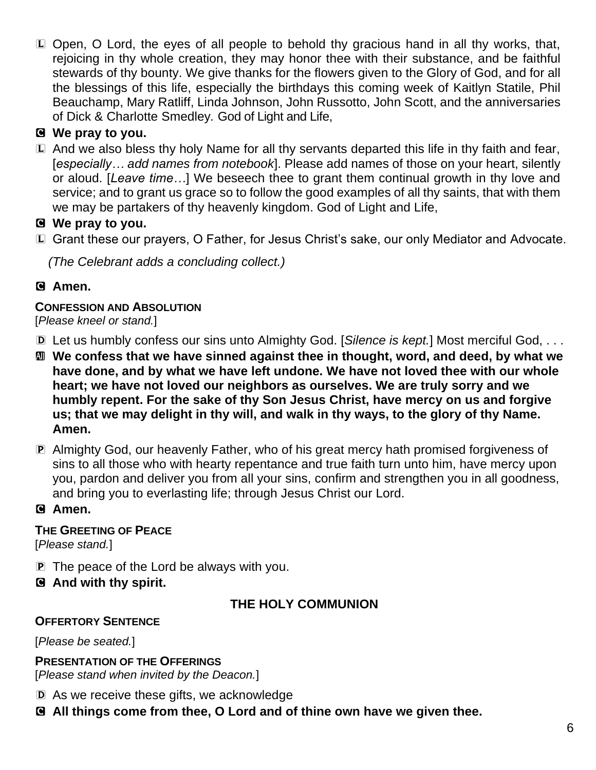L Open, O Lord, the eyes of all people to behold thy gracious hand in all thy works, that, rejoicing in thy whole creation, they may honor thee with their substance, and be faithful stewards of thy bounty. We give thanks for the flowers given to the Glory of God, and for all the blessings of this life, especially the birthdays this coming week of Kaitlyn Statile, Phil Beauchamp, Mary Ratliff, Linda Johnson, John Russotto, John Scott, and the anniversaries of Dick & Charlotte Smedley*.* God of Light and Life,

# C **We pray to you.**

L And we also bless thy holy Name for all thy servants departed this life in thy faith and fear, [*especially… add names from notebook*]. Please add names of those on your heart, silently or aloud. [*Leave time…*] We beseech thee to grant them continual growth in thy love and service; and to grant us grace so to follow the good examples of all thy saints, that with them we may be partakers of thy heavenly kingdom. God of Light and Life,

## C **We pray to you.**

L Grant these our prayers, O Father, for Jesus Christ's sake, our only Mediator and Advocate.

*(The Celebrant adds a concluding collect.)*

## C **Amen.**

## **CONFESSION AND ABSOLUTION**

#### [*Please kneel or stand.*]

- D Let us humbly confess our sins unto Almighty God. [*Silence is kept.*] Most merciful God, . . .
- a **We confess that we have sinned against thee in thought, word, and deed, by what we have done, and by what we have left undone. We have not loved thee with our whole heart; we have not loved our neighbors as ourselves. We are truly sorry and we humbly repent. For the sake of thy Son Jesus Christ, have mercy on us and forgive us; that we may delight in thy will, and walk in thy ways, to the glory of thy Name. Amen.**
- P Almighty God, our heavenly Father, who of his great mercy hath promised forgiveness of sins to all those who with hearty repentance and true faith turn unto him, have mercy upon you, pardon and deliver you from all your sins, confirm and strengthen you in all goodness, and bring you to everlasting life; through Jesus Christ our Lord.

### C **Amen.**

### **THE GREETING OF PEACE**

[*Please stand.*]

- P The peace of the Lord be always with you.
- C **And with thy spirit.**

## **THE HOLY COMMUNION**

### **OFFERTORY SENTENCE**

[*Please be seated.*]

**PRESENTATION OF THE OFFERINGS** [*Please stand when invited by the Deacon.*]

- D As we receive these gifts, we acknowledge
- C **All things come from thee, O Lord and of thine own have we given thee.**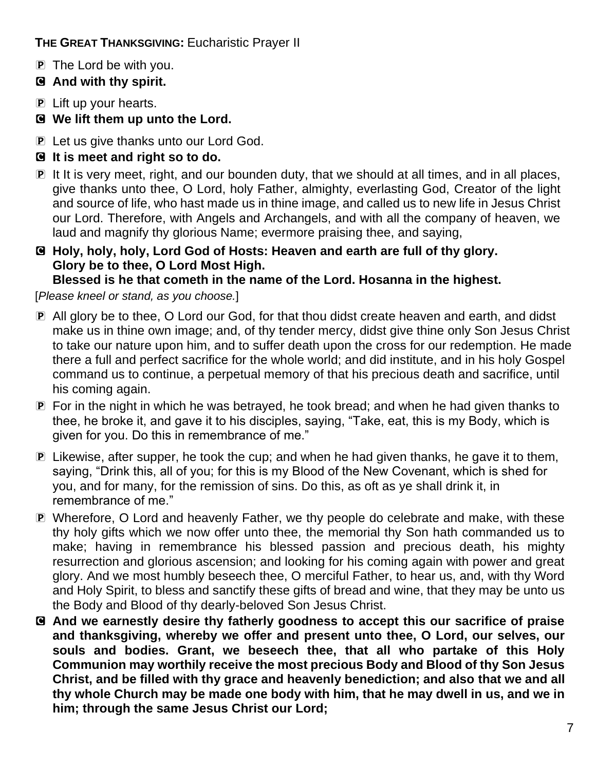**THE GREAT THANKSGIVING:** Eucharistic Prayer II

- P The Lord be with you.
- C **And with thy spirit.**
- P Lift up your hearts.
- C **We lift them up unto the Lord.**
- **P** Let us give thanks unto our Lord God.
- C **It is meet and right so to do.**
- P It It is very meet, right, and our bounden duty, that we should at all times, and in all places, give thanks unto thee, O Lord, holy Father, almighty, everlasting God, Creator of the light and source of life, who hast made us in thine image, and called us to new life in Jesus Christ our Lord. Therefore, with Angels and Archangels, and with all the company of heaven, we laud and magnify thy glorious Name; evermore praising thee, and saying,

# C **Holy, holy, holy, Lord God of Hosts: Heaven and earth are full of thy glory. Glory be to thee, O Lord Most High.**

**Blessed is he that cometh in the name of the Lord. Hosanna in the highest.**

[*Please kneel or stand, as you choose.*]

- P All glory be to thee, O Lord our God, for that thou didst create heaven and earth, and didst make us in thine own image; and, of thy tender mercy, didst give thine only Son Jesus Christ to take our nature upon him, and to suffer death upon the cross for our redemption. He made there a full and perfect sacrifice for the whole world; and did institute, and in his holy Gospel command us to continue, a perpetual memory of that his precious death and sacrifice, until his coming again.
- P For in the night in which he was betrayed, he took bread; and when he had given thanks to thee, he broke it, and gave it to his disciples, saying, "Take, eat, this is my Body, which is given for you. Do this in remembrance of me."
- P Likewise, after supper, he took the cup; and when he had given thanks, he gave it to them, saying, "Drink this, all of you; for this is my Blood of the New Covenant, which is shed for you, and for many, for the remission of sins. Do this, as oft as ye shall drink it, in remembrance of me."
- P Wherefore, O Lord and heavenly Father, we thy people do celebrate and make, with these thy holy gifts which we now offer unto thee, the memorial thy Son hath commanded us to make; having in remembrance his blessed passion and precious death, his mighty resurrection and glorious ascension; and looking for his coming again with power and great glory. And we most humbly beseech thee, O merciful Father, to hear us, and, with thy Word and Holy Spirit, to bless and sanctify these gifts of bread and wine, that they may be unto us the Body and Blood of thy dearly-beloved Son Jesus Christ.
- C **And we earnestly desire thy fatherly goodness to accept this our sacrifice of praise and thanksgiving, whereby we offer and present unto thee, O Lord, our selves, our souls and bodies. Grant, we beseech thee, that all who partake of this Holy Communion may worthily receive the most precious Body and Blood of thy Son Jesus Christ, and be filled with thy grace and heavenly benediction; and also that we and all thy whole Church may be made one body with him, that he may dwell in us, and we in him; through the same Jesus Christ our Lord;**